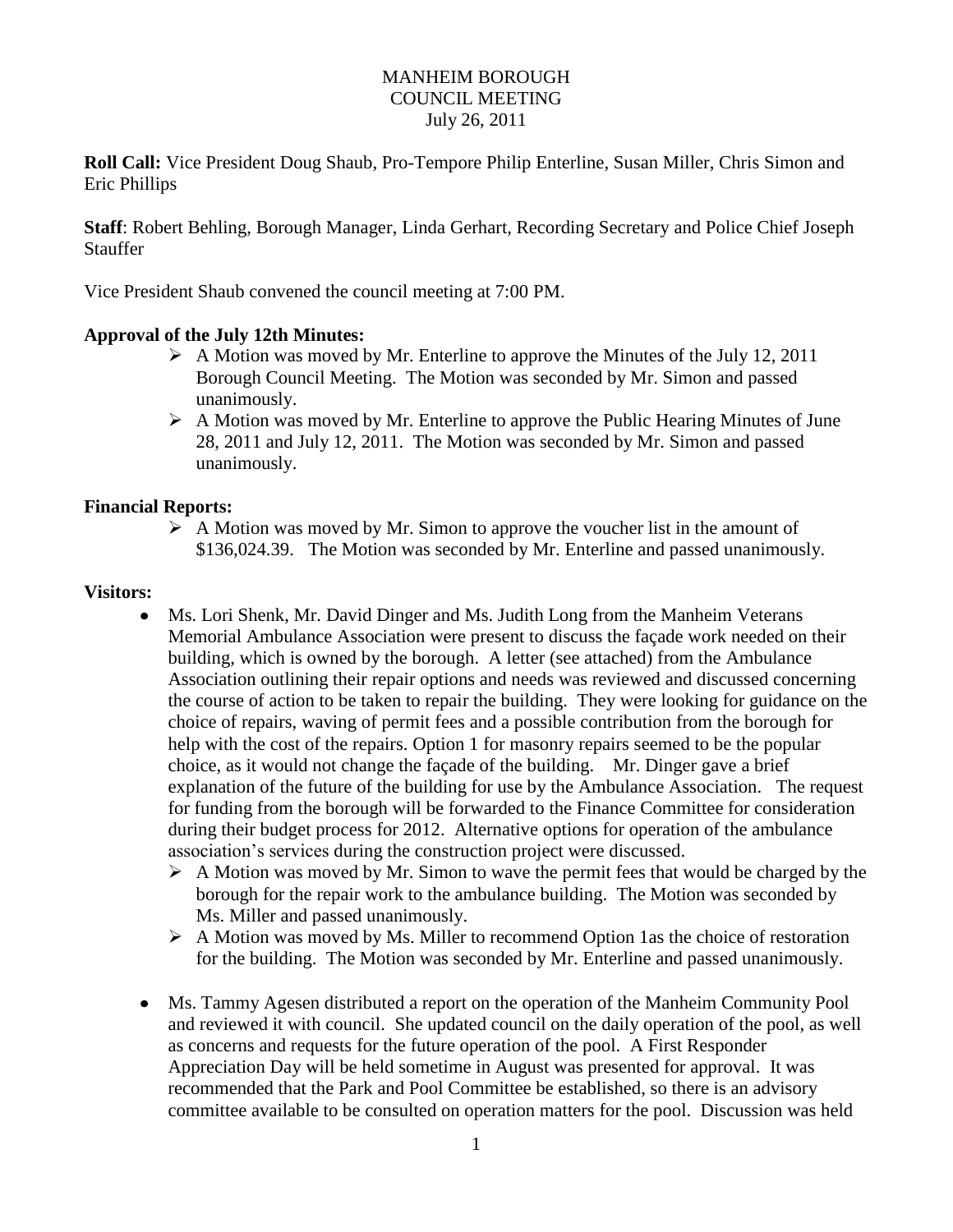### MANHEIM BOROUGH COUNCIL MEETING July 26, 2011

**Roll Call:** Vice President Doug Shaub, Pro-Tempore Philip Enterline, Susan Miller, Chris Simon and Eric Phillips

**Staff**: Robert Behling, Borough Manager, Linda Gerhart, Recording Secretary and Police Chief Joseph Stauffer

Vice President Shaub convened the council meeting at 7:00 PM.

### **Approval of the July 12th Minutes:**

- $\triangleright$  A Motion was moved by Mr. Enterline to approve the Minutes of the July 12, 2011 Borough Council Meeting. The Motion was seconded by Mr. Simon and passed unanimously.
- $\triangleright$  A Motion was moved by Mr. Enterline to approve the Public Hearing Minutes of June 28, 2011 and July 12, 2011. The Motion was seconded by Mr. Simon and passed unanimously.

#### **Financial Reports:**

 $\triangleright$  A Motion was moved by Mr. Simon to approve the voucher list in the amount of \$136,024.39. The Motion was seconded by Mr. Enterline and passed unanimously.

#### **Visitors:**

- Ms. Lori Shenk, Mr. David Dinger and Ms. Judith Long from the Manheim Veterans Memorial Ambulance Association were present to discuss the façade work needed on their building, which is owned by the borough. A letter (see attached) from the Ambulance Association outlining their repair options and needs was reviewed and discussed concerning the course of action to be taken to repair the building. They were looking for guidance on the choice of repairs, waving of permit fees and a possible contribution from the borough for help with the cost of the repairs. Option 1 for masonry repairs seemed to be the popular choice, as it would not change the façade of the building. Mr. Dinger gave a brief explanation of the future of the building for use by the Ambulance Association. The request for funding from the borough will be forwarded to the Finance Committee for consideration during their budget process for 2012. Alternative options for operation of the ambulance association's services during the construction project were discussed.
	- $\triangleright$  A Motion was moved by Mr. Simon to wave the permit fees that would be charged by the borough for the repair work to the ambulance building. The Motion was seconded by Ms. Miller and passed unanimously.
	- $\triangleright$  A Motion was moved by Ms. Miller to recommend Option 1as the choice of restoration for the building. The Motion was seconded by Mr. Enterline and passed unanimously.
- Ms. Tammy Agesen distributed a report on the operation of the Manheim Community Pool and reviewed it with council. She updated council on the daily operation of the pool, as well as concerns and requests for the future operation of the pool. A First Responder Appreciation Day will be held sometime in August was presented for approval. It was recommended that the Park and Pool Committee be established, so there is an advisory committee available to be consulted on operation matters for the pool. Discussion was held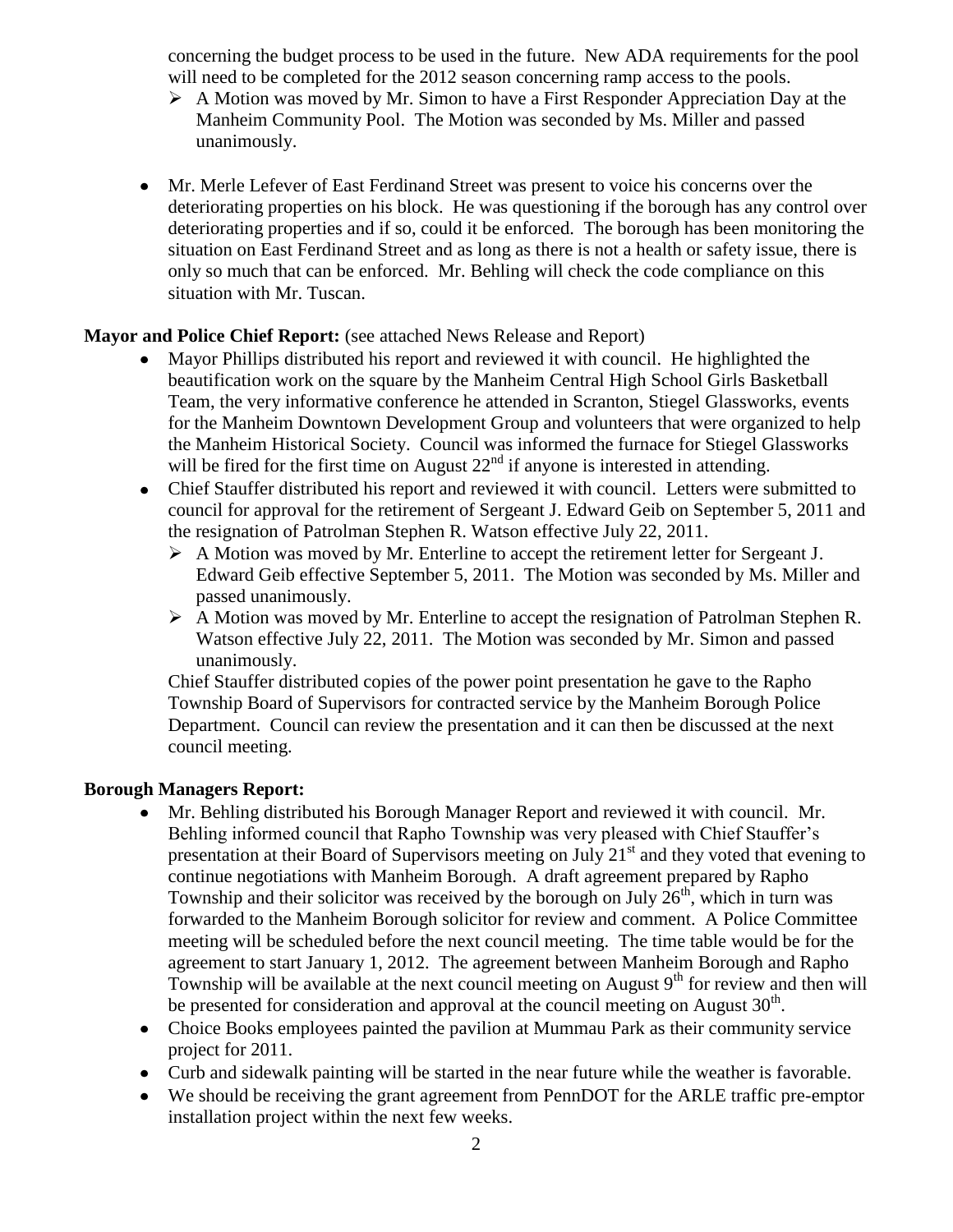concerning the budget process to be used in the future. New ADA requirements for the pool will need to be completed for the 2012 season concerning ramp access to the pools.

- $\triangleright$  A Motion was moved by Mr. Simon to have a First Responder Appreciation Day at the Manheim Community Pool. The Motion was seconded by Ms. Miller and passed unanimously.
- Mr. Merle Lefever of East Ferdinand Street was present to voice his concerns over the deteriorating properties on his block. He was questioning if the borough has any control over deteriorating properties and if so, could it be enforced. The borough has been monitoring the situation on East Ferdinand Street and as long as there is not a health or safety issue, there is only so much that can be enforced. Mr. Behling will check the code compliance on this situation with Mr. Tuscan.

### **Mayor and Police Chief Report:** (see attached News Release and Report)

- Mayor Phillips distributed his report and reviewed it with council. He highlighted the beautification work on the square by the Manheim Central High School Girls Basketball Team, the very informative conference he attended in Scranton, Stiegel Glassworks, events for the Manheim Downtown Development Group and volunteers that were organized to help the Manheim Historical Society. Council was informed the furnace for Stiegel Glassworks will be fired for the first time on August  $22<sup>nd</sup>$  if anyone is interested in attending.
- Chief Stauffer distributed his report and reviewed it with council. Letters were submitted to council for approval for the retirement of Sergeant J. Edward Geib on September 5, 2011 and the resignation of Patrolman Stephen R. Watson effective July 22, 2011.
	- A Motion was moved by Mr. Enterline to accept the retirement letter for Sergeant J. Edward Geib effective September 5, 2011. The Motion was seconded by Ms. Miller and passed unanimously.
	- A Motion was moved by Mr. Enterline to accept the resignation of Patrolman Stephen R. Watson effective July 22, 2011. The Motion was seconded by Mr. Simon and passed unanimously.

Chief Stauffer distributed copies of the power point presentation he gave to the Rapho Township Board of Supervisors for contracted service by the Manheim Borough Police Department. Council can review the presentation and it can then be discussed at the next council meeting.

#### **Borough Managers Report:**

- $\bullet$ Mr. Behling distributed his Borough Manager Report and reviewed it with council. Mr. Behling informed council that Rapho Township was very pleased with Chief Stauffer's presentation at their Board of Supervisors meeting on July  $21<sup>st</sup>$  and they voted that evening to continue negotiations with Manheim Borough. A draft agreement prepared by Rapho Township and their solicitor was received by the borough on July  $26<sup>th</sup>$ , which in turn was forwarded to the Manheim Borough solicitor for review and comment. A Police Committee meeting will be scheduled before the next council meeting. The time table would be for the agreement to start January 1, 2012. The agreement between Manheim Borough and Rapho Township will be available at the next council meeting on August  $9<sup>th</sup>$  for review and then will be presented for consideration and approval at the council meeting on August  $30<sup>th</sup>$ .
- Choice Books employees painted the pavilion at Mummau Park as their community service project for 2011.
- Curb and sidewalk painting will be started in the near future while the weather is favorable.
- We should be receiving the grant agreement from PennDOT for the ARLE traffic pre-emptor installation project within the next few weeks.